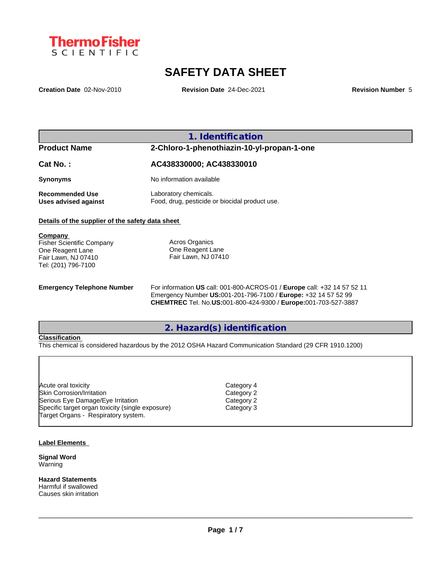

# **SAFETY DATA SHEET**

**Creation Date** 02-Nov-2010 **Revision Date** 24-Dec-2021 **Revision Number** 5

**1. Identification**

## **Product Name 2-Chloro-1-phenothiazin-10-yl-propan-1-one**

| Cat No. : | AC438330000; AC438330010 |
|-----------|--------------------------|
| Synonyms  | No information available |

**Recommended Use** Laboratory chemicals.<br> **Uses advised against** Food, drug, pesticide of

Food, drug, pesticide or biocidal product use.

## **Details of the supplier of the safety data sheet**

| Company                          |                       |
|----------------------------------|-----------------------|
| <b>Fisher Scientific Company</b> | <b>Acros Organics</b> |
| One Reagent Lane                 | One Reagent Lane      |
| Fair Lawn, NJ 07410              | Fair Lawn, NJ 07410   |
| Tel: (201) 796-7100              |                       |
|                                  |                       |

**Emergency Telephone Number** For information **US** call: 001-800-ACROS-01 / **Europe** call: +32 14 57 52 11 Emergency Number **US:**001-201-796-7100 / **Europe:** +32 14 57 52 99 **CHEMTREC** Tel. No.**US:**001-800-424-9300 / **Europe:**001-703-527-3887

## **2. Hazard(s) identification**

## **Classification**

This chemical is considered hazardous by the 2012 OSHA Hazard Communication Standard (29 CFR 1910.1200)

| Acute oral toxicity                              | Category 4 |  |
|--------------------------------------------------|------------|--|
| Skin Corrosion/Irritation                        | Category 2 |  |
| Serious Eye Damage/Eye Irritation                | Category 2 |  |
| Specific target organ toxicity (single exposure) | Category 3 |  |
| Target Organs - Respiratory system.              |            |  |

## **Label Elements**

**Signal Word** Warning

**Hazard Statements** Harmful if swallowed Causes skin irritation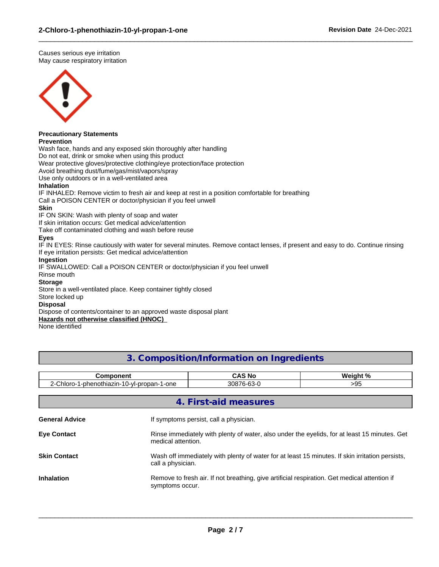Causes serious eye irritation May cause respiratory irritation



# **Precautionary Statements**

## **Prevention**

Wash face, hands and any exposed skin thoroughly after handling

Do not eat, drink or smoke when using this product

Wear protective gloves/protective clothing/eye protection/face protection

Avoid breathing dust/fume/gas/mist/vapors/spray

Use only outdoors or in a well-ventilated area

## **Inhalation**

IF INHALED: Remove victim to fresh air and keep at rest in a position comfortable for breathing

Call a POISON CENTER or doctor/physician if you feel unwell

## **Skin**

IF ON SKIN: Wash with plenty of soap and water

If skin irritation occurs: Get medical advice/attention

Take off contaminated clothing and wash before reuse

## **Eyes**

IF IN EYES: Rinse cautiously with water for several minutes. Remove contact lenses, if present and easy to do. Continue rinsing If eye irritation persists: Get medical advice/attention

 $\_$  ,  $\_$  ,  $\_$  ,  $\_$  ,  $\_$  ,  $\_$  ,  $\_$  ,  $\_$  ,  $\_$  ,  $\_$  ,  $\_$  ,  $\_$  ,  $\_$  ,  $\_$  ,  $\_$  ,  $\_$  ,  $\_$  ,  $\_$  ,  $\_$  ,  $\_$  ,  $\_$  ,  $\_$  ,  $\_$  ,  $\_$  ,  $\_$  ,  $\_$  ,  $\_$  ,  $\_$  ,  $\_$  ,  $\_$  ,  $\_$  ,  $\_$  ,  $\_$  ,  $\_$  ,  $\_$  ,  $\_$  ,  $\_$  ,

## **Ingestion**

IF SWALLOWED: Call a POISON CENTER or doctor/physician if you feel unwell

Rinse mouth

## **Storage**

Store in a well-ventilated place. Keep container tightly closed

## Store locked up

## **Disposal**

Dispose of contents/container to an approved waste disposal plant

## **Hazards not otherwise classified (HNOC)**

None identified

## **3. Composition/Information on Ingredients**

| <b>Component</b>                           |                                                                                                                      | <b>CAS No</b>                                                                                | Weight % |  |
|--------------------------------------------|----------------------------------------------------------------------------------------------------------------------|----------------------------------------------------------------------------------------------|----------|--|
| 2-Chloro-1-phenothiazin-10-yl-propan-1-one |                                                                                                                      | 30876-63-0                                                                                   | >95      |  |
|                                            |                                                                                                                      | 4. First-aid measures                                                                        |          |  |
| <b>General Advice</b>                      |                                                                                                                      | If symptoms persist, call a physician.                                                       |          |  |
| <b>Eye Contact</b>                         | Rinse immediately with plenty of water, also under the eyelids, for at least 15 minutes. Get<br>medical attention.   |                                                                                              |          |  |
| <b>Skin Contact</b>                        | Wash off immediately with plenty of water for at least 15 minutes. If skin irritation persists,<br>call a physician. |                                                                                              |          |  |
| <b>Inhalation</b>                          | symptoms occur.                                                                                                      | Remove to fresh air. If not breathing, give artificial respiration. Get medical attention if |          |  |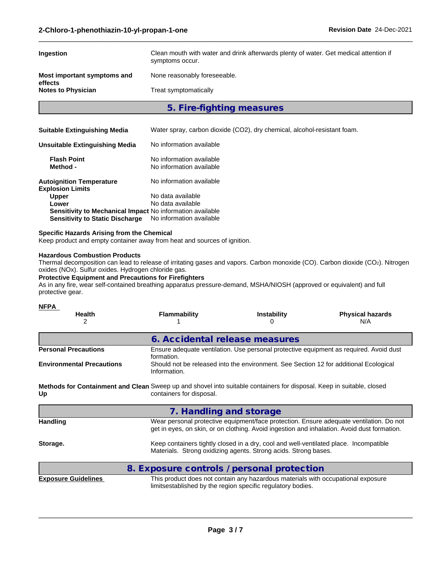| Clean mouth with water and drink afterwards plenty of water. Get medical attention if<br>symptoms occur. |
|----------------------------------------------------------------------------------------------------------|
| None reasonably foreseeable.                                                                             |
| Treat symptomatically                                                                                    |
|                                                                                                          |

 $\_$  ,  $\_$  ,  $\_$  ,  $\_$  ,  $\_$  ,  $\_$  ,  $\_$  ,  $\_$  ,  $\_$  ,  $\_$  ,  $\_$  ,  $\_$  ,  $\_$  ,  $\_$  ,  $\_$  ,  $\_$  ,  $\_$  ,  $\_$  ,  $\_$  ,  $\_$  ,  $\_$  ,  $\_$  ,  $\_$  ,  $\_$  ,  $\_$  ,  $\_$  ,  $\_$  ,  $\_$  ,  $\_$  ,  $\_$  ,  $\_$  ,  $\_$  ,  $\_$  ,  $\_$  ,  $\_$  ,  $\_$  ,  $\_$  ,

**5. Fire-fighting measures**

| <b>Suitable Extinguishing Media</b>                        | Water spray, carbon dioxide (CO2), dry chemical, alcohol-resistant foam. |
|------------------------------------------------------------|--------------------------------------------------------------------------|
| Unsuitable Extinguishing Media                             | No information available                                                 |
| <b>Flash Point</b><br>Method -                             | No information available<br>No information available                     |
| <b>Autoignition Temperature</b><br><b>Explosion Limits</b> | No information available                                                 |
| <b>Upper</b>                                               | No data available                                                        |
| Lower                                                      | No data available                                                        |
| Sensitivity to Mechanical Impact No information available  |                                                                          |
| <b>Sensitivity to Static Discharge</b>                     | No information available                                                 |

## **Specific Hazards Arising from the Chemical**

Keep product and empty container away from heat and sources of ignition.

## **Hazardous Combustion Products**

Thermal decomposition can lead to release of irritating gases and vapors. Carbon monoxide (CO). Carbon dioxide (CO2). Nitrogen oxides (NOx). Sulfur oxides. Hydrogen chloride gas.

## **Protective Equipment and Precautions for Firefighters**

As in any fire, wear self-contained breathing apparatus pressure-demand, MSHA/NIOSH (approved or equivalent) and full protective gear.

# **NFPA**

| .<br><b>Health</b><br>2          | <b>Flammability</b>                                                                                                                               | <b>Instability</b>                                                                                                                                       | <b>Physical hazards</b><br>N/A                                                                                                                                                         |  |  |
|----------------------------------|---------------------------------------------------------------------------------------------------------------------------------------------------|----------------------------------------------------------------------------------------------------------------------------------------------------------|----------------------------------------------------------------------------------------------------------------------------------------------------------------------------------------|--|--|
|                                  | 6. Accidental release measures                                                                                                                    |                                                                                                                                                          |                                                                                                                                                                                        |  |  |
| <b>Personal Precautions</b>      | Ensure adequate ventilation. Use personal protective equipment as required. Avoid dust<br>formation.                                              |                                                                                                                                                          |                                                                                                                                                                                        |  |  |
| <b>Environmental Precautions</b> | Should not be released into the environment. See Section 12 for additional Ecological<br>Information.                                             |                                                                                                                                                          |                                                                                                                                                                                        |  |  |
| Up                               | Methods for Containment and Clean Sweep up and shovel into suitable containers for disposal. Keep in suitable, closed<br>containers for disposal. |                                                                                                                                                          |                                                                                                                                                                                        |  |  |
|                                  | 7. Handling and storage                                                                                                                           |                                                                                                                                                          |                                                                                                                                                                                        |  |  |
| <b>Handling</b>                  |                                                                                                                                                   |                                                                                                                                                          | Wear personal protective equipment/face protection. Ensure adequate ventilation. Do not<br>get in eyes, on skin, or on clothing. Avoid ingestion and inhalation. Avoid dust formation. |  |  |
| Storage.                         |                                                                                                                                                   | Keep containers tightly closed in a dry, cool and well-ventilated place. Incompatible<br>Materials. Strong oxidizing agents. Strong acids. Strong bases. |                                                                                                                                                                                        |  |  |
|                                  | 8. Exposure controls / personal protection                                                                                                        |                                                                                                                                                          |                                                                                                                                                                                        |  |  |
| <b>Exposure Guidelines</b>       |                                                                                                                                                   | This product does not contain any hazardous materials with occupational exposure<br>limitsestablished by the region specific regulatory bodies.          |                                                                                                                                                                                        |  |  |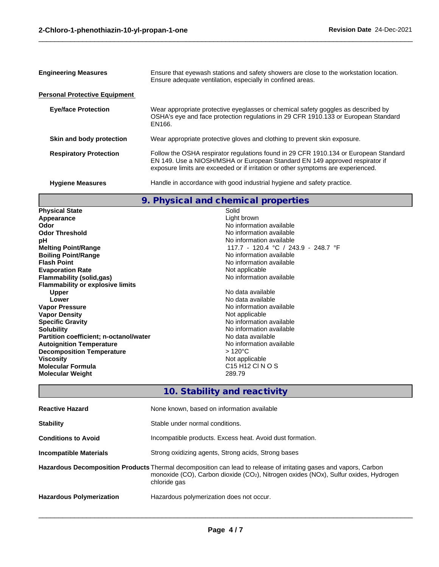| <b>Engineering Measures</b>          | Ensure that eyewash stations and safety showers are close to the workstation location.<br>Ensure adequate ventilation, especially in confined areas.                                                                                                    |  |
|--------------------------------------|---------------------------------------------------------------------------------------------------------------------------------------------------------------------------------------------------------------------------------------------------------|--|
| <b>Personal Protective Equipment</b> |                                                                                                                                                                                                                                                         |  |
| <b>Eye/face Protection</b>           | Wear appropriate protective eyeglasses or chemical safety goggles as described by<br>OSHA's eye and face protection regulations in 29 CFR 1910.133 or European Standard<br>EN166.                                                                       |  |
| Skin and body protection             | Wear appropriate protective gloves and clothing to prevent skin exposure.                                                                                                                                                                               |  |
| <b>Respiratory Protection</b>        | Follow the OSHA respirator regulations found in 29 CFR 1910.134 or European Standard<br>EN 149. Use a NIOSH/MSHA or European Standard EN 149 approved respirator if<br>exposure limits are exceeded or if irritation or other symptoms are experienced. |  |
| <b>Hygiene Measures</b>              | Handle in accordance with good industrial hygiene and safety practice.                                                                                                                                                                                  |  |

 $\_$  ,  $\_$  ,  $\_$  ,  $\_$  ,  $\_$  ,  $\_$  ,  $\_$  ,  $\_$  ,  $\_$  ,  $\_$  ,  $\_$  ,  $\_$  ,  $\_$  ,  $\_$  ,  $\_$  ,  $\_$  ,  $\_$  ,  $\_$  ,  $\_$  ,  $\_$  ,  $\_$  ,  $\_$  ,  $\_$  ,  $\_$  ,  $\_$  ,  $\_$  ,  $\_$  ,  $\_$  ,  $\_$  ,  $\_$  ,  $\_$  ,  $\_$  ,  $\_$  ,  $\_$  ,  $\_$  ,  $\_$  ,  $\_$  ,

# **9. Physical and chemical properties**

| <b>Physical State</b>                         | Solid                                                |
|-----------------------------------------------|------------------------------------------------------|
| Appearance                                    | Light brown                                          |
| Odor                                          | No information available                             |
| <b>Odor Threshold</b>                         | No information available                             |
| рH                                            | No information available                             |
| <b>Melting Point/Range</b>                    | 117.7 - 120.4 °C / 243.9 - 248.7 °F                  |
| <b>Boiling Point/Range</b>                    | No information available                             |
| <b>Flash Point</b>                            | No information available                             |
| <b>Evaporation Rate</b>                       | Not applicable                                       |
| Flammability (solid,gas)                      | No information available                             |
| <b>Flammability or explosive limits</b>       |                                                      |
| <b>Upper</b>                                  | No data available                                    |
| Lower                                         | No data available                                    |
| <b>Vapor Pressure</b>                         | No information available                             |
| <b>Vapor Density</b>                          | Not applicable                                       |
| <b>Specific Gravity</b>                       | No information available                             |
| <b>Solubility</b>                             | No information available                             |
| <b>Partition coefficient; n-octanol/water</b> | No data available                                    |
| <b>Autoignition Temperature</b>               | No information available                             |
| <b>Decomposition Temperature</b>              | $>120^{\circ}$ C                                     |
| <b>Viscosity</b>                              | Not applicable                                       |
| <b>Molecular Formula</b>                      | C <sub>15</sub> H <sub>12</sub> C <sub>1</sub> N O S |
| <b>Molecular Weight</b>                       | 289.79                                               |

# **10. Stability and reactivity**

| <b>Reactive Hazard</b>          | None known, based on information available                                                                                                                                                                                                         |
|---------------------------------|----------------------------------------------------------------------------------------------------------------------------------------------------------------------------------------------------------------------------------------------------|
| <b>Stability</b>                | Stable under normal conditions.                                                                                                                                                                                                                    |
| <b>Conditions to Avoid</b>      | Incompatible products. Excess heat. Avoid dust formation.                                                                                                                                                                                          |
| Incompatible Materials          | Strong oxidizing agents, Strong acids, Strong bases                                                                                                                                                                                                |
|                                 | Hazardous Decomposition Products Thermal decomposition can lead to release of irritating gases and vapors, Carbon<br>monoxide (CO), Carbon dioxide (CO <sub>2</sub> ), Nitrogen oxides (NO <sub>x</sub> ), Sulfur oxides, Hydrogen<br>chloride gas |
| <b>Hazardous Polymerization</b> | Hazardous polymerization does not occur.                                                                                                                                                                                                           |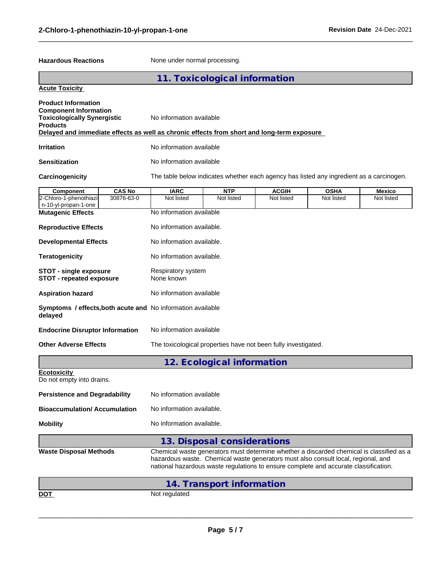Hazardous Reactions **None under normal processing**.

 $\_$  ,  $\_$  ,  $\_$  ,  $\_$  ,  $\_$  ,  $\_$  ,  $\_$  ,  $\_$  ,  $\_$  ,  $\_$  ,  $\_$  ,  $\_$  ,  $\_$  ,  $\_$  ,  $\_$  ,  $\_$  ,  $\_$  ,  $\_$  ,  $\_$  ,  $\_$  ,  $\_$  ,  $\_$  ,  $\_$  ,  $\_$  ,  $\_$  ,  $\_$  ,  $\_$  ,  $\_$  ,  $\_$  ,  $\_$  ,  $\_$  ,  $\_$  ,  $\_$  ,  $\_$  ,  $\_$  ,  $\_$  ,  $\_$  ,

|                                                                                                                                                                                                                   |                                                                                                                                                                                                                                                                       | 11. Toxicological information |              |             |               |
|-------------------------------------------------------------------------------------------------------------------------------------------------------------------------------------------------------------------|-----------------------------------------------------------------------------------------------------------------------------------------------------------------------------------------------------------------------------------------------------------------------|-------------------------------|--------------|-------------|---------------|
| <b>Acute Toxicity</b>                                                                                                                                                                                             |                                                                                                                                                                                                                                                                       |                               |              |             |               |
| <b>Product Information</b><br><b>Component Information</b><br><b>Toxicologically Synergistic</b><br><b>Products</b><br>Delayed and immediate effects as well as chronic effects from short and long-term exposure |                                                                                                                                                                                                                                                                       | No information available      |              |             |               |
| <b>Irritation</b>                                                                                                                                                                                                 | No information available                                                                                                                                                                                                                                              |                               |              |             |               |
| <b>Sensitization</b>                                                                                                                                                                                              | No information available                                                                                                                                                                                                                                              |                               |              |             |               |
| Carcinogenicity                                                                                                                                                                                                   | The table below indicates whether each agency has listed any ingredient as a carcinogen.                                                                                                                                                                              |                               |              |             |               |
| <b>CAS No</b><br>Component                                                                                                                                                                                        | <b>IARC</b>                                                                                                                                                                                                                                                           | <b>NTP</b>                    | <b>ACGIH</b> | <b>OSHA</b> | <b>Mexico</b> |
| 30876-63-0<br>2-Chloro-1-phenothiazi<br>n-10-yl-propan-1-one                                                                                                                                                      | Not listed                                                                                                                                                                                                                                                            | Not listed                    | Not listed   | Not listed  | Not listed    |
| <b>Mutagenic Effects</b>                                                                                                                                                                                          | No information available                                                                                                                                                                                                                                              |                               |              |             |               |
| <b>Reproductive Effects</b>                                                                                                                                                                                       | No information available.                                                                                                                                                                                                                                             |                               |              |             |               |
| <b>Developmental Effects</b>                                                                                                                                                                                      | No information available.                                                                                                                                                                                                                                             |                               |              |             |               |
| <b>Teratogenicity</b>                                                                                                                                                                                             | No information available.                                                                                                                                                                                                                                             |                               |              |             |               |
| <b>STOT - single exposure</b><br>STOT - repeated exposure                                                                                                                                                         | Respiratory system<br>None known                                                                                                                                                                                                                                      |                               |              |             |               |
| <b>Aspiration hazard</b>                                                                                                                                                                                          | No information available                                                                                                                                                                                                                                              |                               |              |             |               |
| Symptoms / effects, both acute and No information available<br>delayed                                                                                                                                            |                                                                                                                                                                                                                                                                       |                               |              |             |               |
| <b>Endocrine Disruptor Information</b>                                                                                                                                                                            | No information available                                                                                                                                                                                                                                              |                               |              |             |               |
| <b>Other Adverse Effects</b>                                                                                                                                                                                      | The toxicological properties have not been fully investigated.                                                                                                                                                                                                        |                               |              |             |               |
|                                                                                                                                                                                                                   |                                                                                                                                                                                                                                                                       | 12. Ecological information    |              |             |               |
| <b>Ecotoxicity</b><br>Do not empty into drains.                                                                                                                                                                   |                                                                                                                                                                                                                                                                       |                               |              |             |               |
| <b>Persistence and Degradability</b>                                                                                                                                                                              | No information available                                                                                                                                                                                                                                              |                               |              |             |               |
| <b>Bioaccumulation/Accumulation</b>                                                                                                                                                                               | No information available.                                                                                                                                                                                                                                             |                               |              |             |               |
| <b>Mobility</b>                                                                                                                                                                                                   | No information available.                                                                                                                                                                                                                                             |                               |              |             |               |
|                                                                                                                                                                                                                   |                                                                                                                                                                                                                                                                       | 13. Disposal considerations   |              |             |               |
| <b>Waste Disposal Methods</b>                                                                                                                                                                                     | Chemical waste generators must determine whether a discarded chemical is classified as a<br>hazardous waste. Chemical waste generators must also consult local, regional, and<br>national hazardous waste regulations to ensure complete and accurate classification. |                               |              |             |               |
|                                                                                                                                                                                                                   |                                                                                                                                                                                                                                                                       | 14. Transport information     |              |             |               |
| <b>DOT</b>                                                                                                                                                                                                        | Not regulated                                                                                                                                                                                                                                                         |                               |              |             |               |
|                                                                                                                                                                                                                   |                                                                                                                                                                                                                                                                       |                               |              |             |               |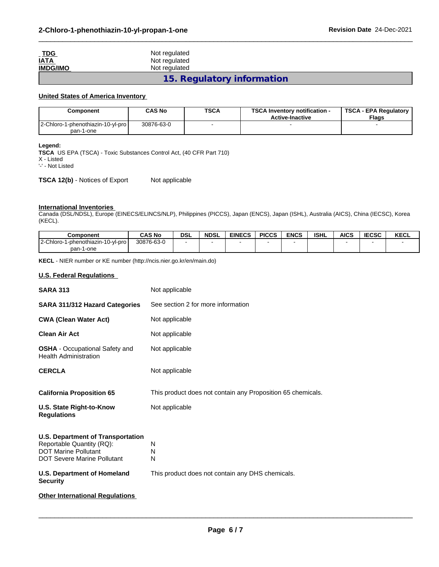| $\underline{\phantom{a}}$ TDG | Not regulated              |
|-------------------------------|----------------------------|
| <u>IATA</u>                   | Not regulated              |
| <b>IMDG/IMO</b>               | Not regulated              |
|                               | 15. Regulatory information |

 $\_$  ,  $\_$  ,  $\_$  ,  $\_$  ,  $\_$  ,  $\_$  ,  $\_$  ,  $\_$  ,  $\_$  ,  $\_$  ,  $\_$  ,  $\_$  ,  $\_$  ,  $\_$  ,  $\_$  ,  $\_$  ,  $\_$  ,  $\_$  ,  $\_$  ,  $\_$  ,  $\_$  ,  $\_$  ,  $\_$  ,  $\_$  ,  $\_$  ,  $\_$  ,  $\_$  ,  $\_$  ,  $\_$  ,  $\_$  ,  $\_$  ,  $\_$  ,  $\_$  ,  $\_$  ,  $\_$  ,  $\_$  ,  $\_$  ,

## **United States of America Inventory**

| Component                         | <b>CAS No</b> | <b>TSCA</b> | <b>TSCA Inventory notification -</b><br><b>Active-Inactive</b> | <b>TSCA - EPA Regulatory</b><br><b>Flags</b> |  |
|-----------------------------------|---------------|-------------|----------------------------------------------------------------|----------------------------------------------|--|
| 2-Chloro-1-phenothiazin-10-yl-pro | 30876-63-0    |             |                                                                |                                              |  |
| pan-1-one                         |               |             |                                                                |                                              |  |

**Legend:**

**TSCA** US EPA (TSCA) - Toxic Substances Control Act, (40 CFR Part 710) X - Listed

'-' - Not Listed

**TSCA 12(b)** - Notices of Export Not applicable

## **International Inventories**

Canada (DSL/NDSL), Europe (EINECS/ELINCS/NLP), Philippines (PICCS), Japan (ENCS), Japan (ISHL), Australia (AICS), China (IECSC), Korea (KECL).

| <b>Component</b>                                  | <b>CAS No</b> | DSL | <b>NDSL</b> | <b>EINECS</b> | <b>PICCS</b> | <b>ENCS</b> | <b>ISHL</b> | <b>AICS</b> | <b>IECCO</b><br>ובטאט | KECL |
|---------------------------------------------------|---------------|-----|-------------|---------------|--------------|-------------|-------------|-------------|-----------------------|------|
| l 2-Chloro-<br><b>I-phenothiazin</b><br>10-vl-pro | 30876-63-0    |     |             |               |              |             |             |             |                       |      |
| pan-1<br>1-one                                    |               |     |             |               |              |             |             |             |                       |      |

**KECL** - NIER number or KE number (http://ncis.nier.go.kr/en/main.do)

## **U.S. Federal Regulations**

| <b>SARA 313</b>                                                                                                                                                                  | Not applicable                                                  |
|----------------------------------------------------------------------------------------------------------------------------------------------------------------------------------|-----------------------------------------------------------------|
| SARA 311/312 Hazard Categories                                                                                                                                                   | See section 2 for more information                              |
| <b>CWA (Clean Water Act)</b>                                                                                                                                                     | Not applicable                                                  |
| <b>Clean Air Act</b>                                                                                                                                                             | Not applicable                                                  |
| <b>OSHA</b> - Occupational Safety and<br><b>Health Administration</b>                                                                                                            | Not applicable                                                  |
| <b>CERCLA</b>                                                                                                                                                                    | Not applicable                                                  |
| <b>California Proposition 65</b>                                                                                                                                                 | This product does not contain any Proposition 65 chemicals.     |
| U.S. State Right-to-Know<br><b>Regulations</b>                                                                                                                                   | Not applicable                                                  |
| <b>U.S. Department of Transportation</b><br>Reportable Quantity (RQ):<br><b>DOT Marine Pollutant</b><br><b>DOT Severe Marine Pollutant</b><br><b>U.S. Department of Homeland</b> | N<br>N<br>N<br>This product does not contain any DHS chemicals. |
| <b>Security</b>                                                                                                                                                                  |                                                                 |
| <b>Other International Regulations</b>                                                                                                                                           |                                                                 |